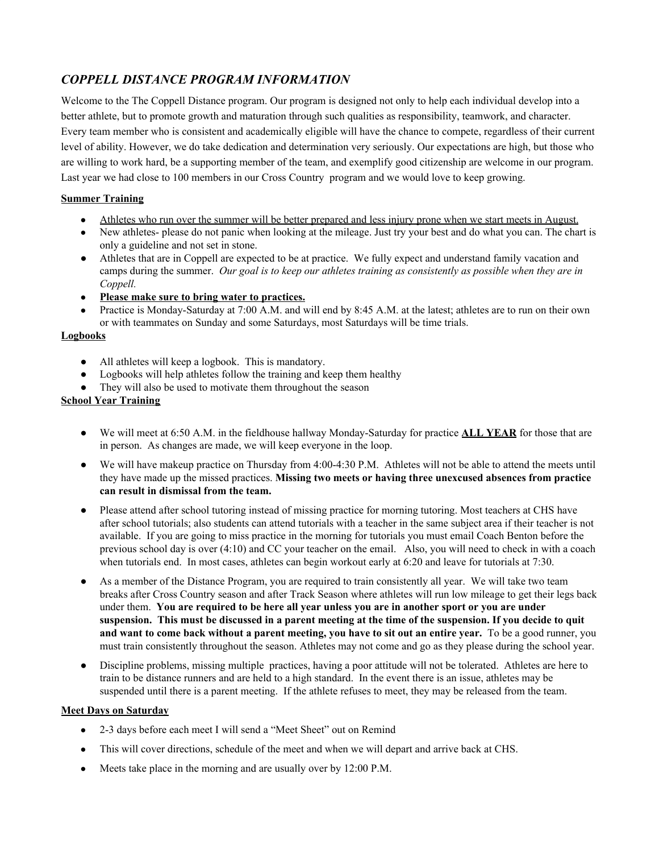# *COPPELL DISTANCE PROGRAM INFORMATION*

Welcome to the The Coppell Distance program. Our program is designed not only to help each individual develop into a better athlete, but to promote growth and maturation through such qualities as responsibility, teamwork, and character. Every team member who is consistent and academically eligible will have the chance to compete, regardless of their current level of ability. However, we do take dedication and determination very seriously. Our expectations are high, but those who are willing to work hard, be a supporting member of the team, and exemplify good citizenship are welcome in our program. Last year we had close to 100 members in our Cross Country program and we would love to keep growing.

## **Summer Training**

- Athletes who run over the summer will be better prepared and less injury prone when we start meets in August.
- New athletes- please do not panic when looking at the mileage. Just try your best and do what you can. The chart is only a guideline and not set in stone.
- Athletes that are in Coppell are expected to be at practice. We fully expect and understand family vacation and camps during the summer. *Our goal is to keep our athletes training as consistently as possible when they are in Coppell.*
- **● Please make sure to bring water to practices.**
- Practice is Monday-Saturday at 7:00 A.M. and will end by 8:45 A.M. at the latest; athletes are to run on their own or with teammates on Sunday and some Saturdays, most Saturdays will be time trials.

## **Logbooks**

- All athletes will keep a logbook. This is mandatory.
- Logbooks will help athletes follow the training and keep them healthy
- They will also be used to motivate them throughout the season

## **School Year Training**

- We will meet at 6:50 A.M. in the fieldhouse hallway Monday-Saturday for practice **ALL YEAR** for those that are in person. As changes are made, we will keep everyone in the loop.
- We will have makeup practice on Thursday from 4:00-4:30 P.M. Athletes will not be able to attend the meets until they have made up the missed practices. **Missing two meets or having three unexcused absences from practice can result in dismissal from the team.**
- Please attend after school tutoring instead of missing practice for morning tutoring. Most teachers at CHS have after school tutorials; also students can attend tutorials with a teacher in the same subject area if their teacher is not available. If you are going to miss practice in the morning for tutorials you must email Coach Benton before the previous school day is over (4:10) and CC your teacher on the email. Also, you will need to check in with a coach when tutorials end. In most cases, athletes can begin workout early at 6:20 and leave for tutorials at 7:30.
- **●** As a member of the Distance Program, you are required to train consistently all year. We will take two team breaks after Cross Country season and after Track Season where athletes will run low mileage to get their legs back under them. **You are required to be here all year unless you are in another sport or you are under** suspension. This must be discussed in a parent meeting at the time of the suspension. If you decide to quit and want to come back without a parent meeting, you have to sit out an entire year. To be a good runner, you must train consistently throughout the season. Athletes may not come and go as they please during the school year.
- Discipline problems, missing multiple practices, having a poor attitude will not be tolerated. Athletes are here to train to be distance runners and are held to a high standard. In the event there is an issue, athletes may be suspended until there is a parent meeting. If the athlete refuses to meet, they may be released from the team.

## **Meet Days on Saturday**

- 2-3 days before each meet I will send a "Meet Sheet" out on Remind
- This will cover directions, schedule of the meet and when we will depart and arrive back at CHS.
- Meets take place in the morning and are usually over by 12:00 P.M.